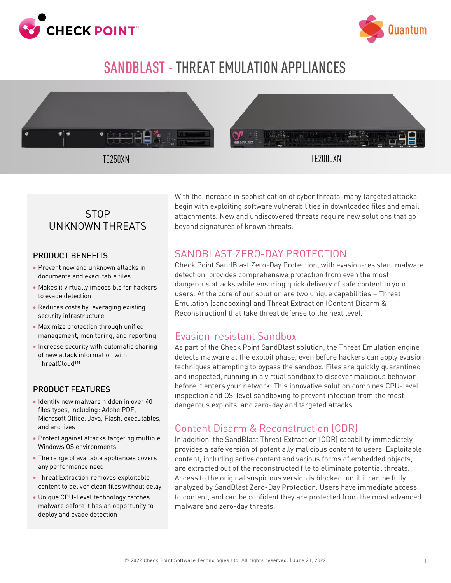



# SANDBLAST- THREAT EMULATION APPLIANCES



# **STOP** UNKNOWN THREATS

#### PRODUCT BENEFITS

- Prevent new and unknown attacks in documents and executable files
- Makes it virtually impossible for hackers to evade detection
- Reduces costs by leveraging existing security infrastructure
- Maximize protection through unified management, monitoring, and reporting
- Increase security with automatic sharing of new attack information with ThreatCloud™

#### PRODUCT FEATURES

- Identify new malware hidden in over 40 files types, including: Adobe PDF, Microsoft Office, Java, Flash, executables, and archives
- Protect against attacks targeting multiple Windows OS environments
- The range of available appliances covers any performance need
- Threat Extraction removes exploitable content to deliver clean files without delay
- Unique CPU-Level technology catches malware before it has an opportunity to deploy and evade detection

With the increase in sophistication of cyber threats, many targeted attacks begin with exploiting software vulnerabilities in downloaded files and email attachments. New and undiscovered threats require new solutions that go beyond signatures of known threats.

### SANDBLAST ZERO-DAY PROTECTION

Check Point SandBlast Zero-Day Protection, with evasion-resistant malware detection, provides comprehensive protection from even the most dangerous attacks while ensuring quick delivery of safe content to your users. At the core of our solution are two unique capabilities – Threat Emulation (sandboxing) and Threat Extraction (Content Disarm & Reconstruction) that take threat defense to the next level.

### Evasion-resistant Sandbox

As part of the Check Point SandBlast solution, the Threat Emulation engine detects malware at the exploit phase, even before hackers can apply evasion techniques attempting to bypass the sandbox. Files are quickly quarantined and inspected, running in a virtual sandbox to discover malicious behavior before it enters your network. This innovative solution combines CPU-level inspection and OS-level sandboxing to prevent infection from the most dangerous exploits, and zero-day and targeted attacks.

# Content Disarm & Reconstruction (CDR)

In addition, the SandBlast Threat Extraction (CDR) capability immediately provides a safe version of potentially malicious content to users. Exploitable content, including active content and various forms of embedded objects, are extracted out of the reconstructed file to eliminate potential threats. Access to the original suspicious version is blocked, until it can be fully analyzed by SandBlast Zero-Day Protection. Users have immediate access to content, and can be confident they are protected from the most advanced malware and zero-day threats.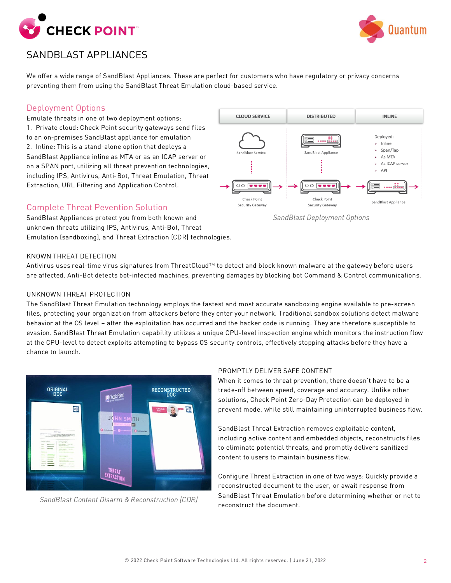



# SANDBLAST APPLIANCES

We offer a wide range of SandBlast Appliances. These are perfect for customers who have regulatory or privacy concerns preventing them from using the SandBlast Threat Emulation cloud-based service.

#### Deployment Options

Emulate threats in one of two deployment options: 1. Private cloud: Check Point security gateways send files to an on-premises SandBlast appliance for emulation 2. Inline: This is a stand-alone option that deploys a SandBlast Appliance inline as MTA or as an ICAP server or on a SPAN port, utilizing all threat prevention technologies, including IPS, Antivirus, Anti-Bot, Threat Emulation, Threat Extraction, URL Filtering and Application Control.

#### Complete Threat Pevention Solution

SandBlast Appliances protect you from both known and unknown threats utilizing IPS, Antivirus, Anti-Bot, Threat Emulation (sandboxing), and Threat Extraction (CDR) technologies.



*SandBlast Deployment Options*

#### KNOWN THREAT DETECTION

Antivirus uses real-time virus signatures from ThreatCloud™ to detect and block known malware at the gateway before users are affected. Anti-Bot detects bot-infected machines, preventing damages by blocking bot Command & Control communications.

#### UNKNOWN THREAT PROTECTION

The SandBlast Threat Emulation technology employs the fastest and most accurate sandboxing engine available to pre-screen files, protecting your organization from attackers before they enter your network. Traditional sandbox solutions detect malware behavior at the OS level – after the exploitation has occurred and the hacker code is running. They are therefore susceptible to evasion. SandBlast Threat Emulation capability utilizes a unique CPU-level inspection engine which monitors the instruction flow at the CPU-level to detect exploits attempting to bypass OS security controls, effectively stopping attacks before they have a chance to launch.



*SandBlast Content Disarm & Reconstruction (CDR)*

#### PROMPTLY DELIVER SAFE CONTENT

When it comes to threat prevention, there doesn't have to be a trade-off between speed, coverage and accuracy. Unlike other solutions, Check Point Zero-Day Protection can be deployed in prevent mode, while still maintaining uninterrupted business flow.

SandBlast Threat Extraction removes exploitable content, including active content and embedded objects, reconstructs files to eliminate potential threats, and promptly delivers sanitized content to users to maintain business flow.

Configure Threat Extraction in one of two ways: Quickly provide a reconstructed document to the user, or await response from SandBlast Threat Emulation before determining whether or not to reconstruct the document.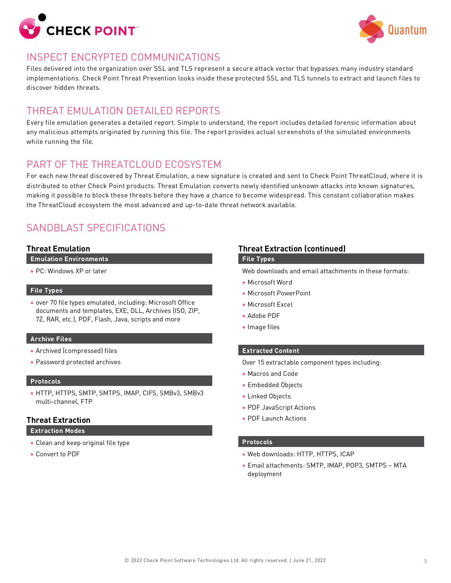



### INSPECT ENCRYPTED COMMUNICATIONS

Files delivered into the organization over SSL and TLS represent a secure attack vector that bypasses many industry standard implementations. Check Point Threat Prevention looks inside these protected SSL and TLS tunnels to extract and launch files to discover hidden threats.

### THREAT EMULATION DETAILED REPORTS

Every file emulation generates a detailed report. Simple to understand, the report includes detailed forensic information about any malicious attempts originated by running this file. The report provides actual screenshots of the simulated environments while running the file.

# PART OF THE THREATCLOUD ECOSYSTEM

For each new threat discovered by Threat Emulation, a new signature is created and sent to Check Point ThreatCloud, where it is distributed to other Check Point products. Threat Emulation converts newly identified unknown attacks into known signatures, making it possible to block these threats before they have a chance to become widespread. This constant collaboration makes the ThreatCloud ecosystem the most advanced and up-to-date threat network available.

# SANDBLAST SPECIFICATIONS

#### **Threat Emulation**

**Emulation Environments**

• PC: Windows XP or later

#### **File Types**

• over 70 file types emulated, including: Microsoft Office documents and templates, EXE, DLL, Archives (ISO, ZIP, 7Z, RAR, etc.), PDF, Flash, Java, scripts and more

#### **Archive Files**

- Archived (compressed) files
- Password protected archives

#### **Protocols**

• HTTP, HTTPS, SMTP, SMTPS, IMAP, CIFS, SMBv3, SMBv3 multi-channel, FTP

#### **Threat Extraction**

**Extraction Modes**

- Clean and keep original file type
- Convert to PDF

#### **Threat Extraction (continued)**

#### **File Types**

Web downloads and email attachments in these formats:

- Microsoft Word
- Microsoft PowerPoint
- Microsoft Excel
- Adobe PDF
- Image files

#### **Extracted Content**

Over 15 extractable component types including:

- Macros and Code
- Embedded Objects
- Linked Objects
- PDF JavaScript Actions
- PDF Launch Actions

#### **Protocols**

- Web downloads: HTTP, HTTPS, ICAP
- Email attachments: SMTP, IMAP, POP3, SMTPS MTA deployment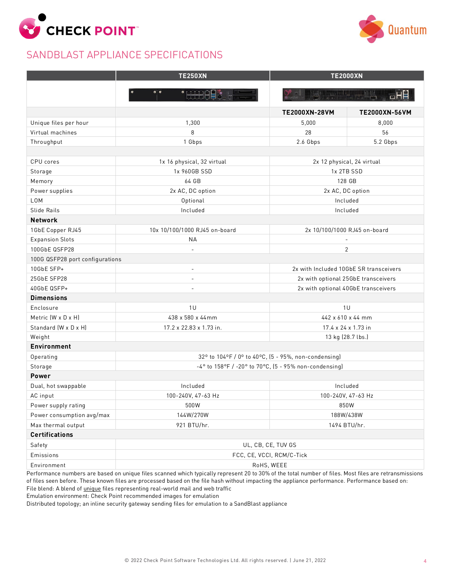

# SANDBLAST APPLIANCE SPECIFICATIONS



|                                 | <b>TE250XN</b>                                                 | <b>TE2000XN</b>                        |               |
|---------------------------------|----------------------------------------------------------------|----------------------------------------|---------------|
|                                 | <b>'HHAL</b>                                                   |                                        |               |
|                                 |                                                                |                                        |               |
|                                 |                                                                | TE2000XN-28VM                          | TE2000XN-56VM |
| Unique files per hour           | 1,300                                                          | 5,000                                  | 8,000         |
| Virtual machines                | 8                                                              | 28                                     | 56            |
| Throughput                      | 1 Gbps                                                         | 2.6 Gbps                               | 5.2 Gbps      |
|                                 |                                                                |                                        |               |
| CPU cores                       | 1x 16 physical, 32 virtual                                     | 2x 12 physical, 24 virtual             |               |
| Storage                         | 1x 960GB SSD                                                   | 1x 2TB SSD                             |               |
| Memory                          | 64 GB                                                          | 128 GB                                 |               |
| Power supplies                  | 2x AC, DC option                                               | 2x AC, DC option                       |               |
| LOM                             | Optional                                                       | Included                               |               |
| Slide Rails                     | Included                                                       | Included                               |               |
| <b>Network</b>                  |                                                                |                                        |               |
| 1GbE Copper RJ45                | 10x 10/100/1000 RJ45 on-board                                  | 2x 10/100/1000 RJ45 on-board           |               |
| <b>Expansion Slots</b>          | <b>NA</b>                                                      | $\overline{\phantom{a}}$               |               |
| 100GbE QSFP28                   |                                                                | $\overline{2}$                         |               |
| 100G QSFP28 port configurations |                                                                |                                        |               |
| 10GbE SFP+                      | $\overline{\phantom{a}}$                                       | 2x with Included 10GbE SR transceivers |               |
| 25GbE SFP28                     | $\overline{\phantom{a}}$                                       | 2x with optional 25GbE transceivers    |               |
| 40GbE QSFP+                     |                                                                | 2x with optional 40GbE transceivers    |               |
| <b>Dimensions</b>               |                                                                |                                        |               |
| Enclosure                       | 1 <sub>U</sub>                                                 | 1 <sub>U</sub>                         |               |
| Metric $(W \times D \times H)$  | 438 x 580 x 44mm                                               | 442 x 610 x 44 mm                      |               |
| Standard (W x D x H)            | 17.2 x 22.83 x 1.73 in.                                        | 17.4 x 24 x 1.73 in                    |               |
| Weight                          |                                                                | 13 kg (28.7 lbs.)                      |               |
| Environment                     |                                                                |                                        |               |
| Operating                       | 32° to 104°F / 0° to 40°C, (5 - 95%, non-condensing)           |                                        |               |
| Storage                         | $-4^{\circ}$ to 158°F / -20° to 70°C, (5 - 95% non-condensing) |                                        |               |
| Power                           |                                                                |                                        |               |
| Dual, hot swappable             | Included                                                       | Included                               |               |
| AC input                        | 100-240V, 47-63 Hz                                             | 100-240V, 47-63 Hz                     |               |
| Power supply rating             | 500W                                                           | 850W                                   |               |
| Power consumption avg/max       | 144W/270W                                                      | 188W/438W                              |               |
| Max thermal output              | 921 BTU/hr.                                                    |                                        | 1494 BTU/hr.  |
| Certifications                  |                                                                |                                        |               |
| Safety                          | UL, CB, CE, TUV GS                                             |                                        |               |
| Emissions                       | FCC, CE, VCCI, RCM/C-Tick                                      |                                        |               |
| Environment                     |                                                                | RoHS, WEEE                             |               |

Performance numbers are based on unique files scanned which typically represent 20 to 30% of the total number of files. Most files are retransmissions of files seen before. These known files are processed based on the file hash without impacting the appliance performance. Performance based on: File blend: A blend of *unique* files representing real-world mail and web traffic

Emulation environment: Check Point recommended images for emulation

Distributed topology; an inline security gateway sending files for emulation to a SandBlast appliance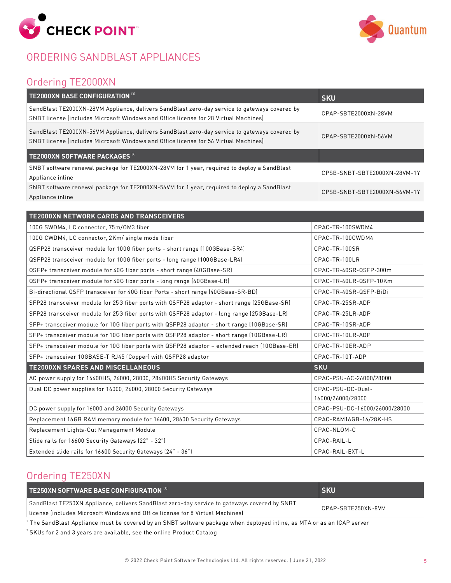

# ORDERING SANDBLAST APPLIANCES



# Ordering TE2000XN

| TE2000XN BASE CONFIGURATION [1]                                                                                                                                                       | <b>SKU</b>                   |
|---------------------------------------------------------------------------------------------------------------------------------------------------------------------------------------|------------------------------|
| SandBlast TE2000XN-28VM Appliance, delivers SandBlast zero-day service to gateways covered by<br>SNBT license lincludes Microsoft Windows and Office license for 28 Virtual Machines) | CPAP-SBTE2000XN-28VM         |
| SandBlast TE2000XN-56VM Appliance, delivers SandBlast zero-day service to gateways covered by<br>SNBT license (includes Microsoft Windows and Office license for 56 Virtual Machines) | CPAP-SBTE2000XN-56VM         |
| TE2000XN SOFTWARE PACKAGES <sup>[2]</sup>                                                                                                                                             |                              |
| SNBT software renewal package for TE2000XN-28VM for 1 year, required to deploy a SandBlast                                                                                            | CPSB-SNBT-SBTE2000XN-28VM-1Y |
| Appliance inline                                                                                                                                                                      |                              |

| <b>TE2000XN NETWORK CARDS AND TRANSCEIVERS</b>                                                |                               |
|-----------------------------------------------------------------------------------------------|-------------------------------|
| 100G SWDM4, LC connector, 75m/0M3 fiber                                                       | CPAC-TR-100SWDM4              |
| 100G CWDM4, LC connector, 2Km/ single mode fiber                                              | CPAC-TR-100CWDM4              |
| QSFP28 transceiver module for 100G fiber ports - short range (100GBase-SR4)                   | CPAC-TR-100SR                 |
| QSFP28 transceiver module for 100G fiber ports - long range (100GBase-LR4)                    | CPAC-TR-100LR                 |
| QSFP+ transceiver module for 40G fiber ports - short range (40GBase-SR)                       | CPAC-TR-40SR-QSFP-300m        |
| QSFP+ transceiver module for 40G fiber ports - long range (40GBase-LR)                        | CPAC-TR-40LR-QSFP-10Km        |
| Bi-directional QSFP transceiver for 40G fiber Ports - short range (40GBase-SR-BD)             | CPAC-TR-40SR-QSFP-BiDi        |
| SFP28 transceiver module for 25G fiber ports with QSFP28 adaptor - short range (25GBase-SR)   | CPAC-TR-25SR-ADP              |
| SFP28 transceiver module for 25G fiber ports with QSFP28 adaptor - long range (25GBase-LR)    | CPAC-TR-25LR-ADP              |
| SFP+ transceiver module for 10G fiber ports with QSFP28 adaptor - short range (10GBase-SR)    | CPAC-TR-10SR-ADP              |
| SFP+ transceiver module for 10G fiber ports with QSFP28 adaptor - short range (10GBase-LR)    | CPAC-TR-10LR-ADP              |
| SFP+ transceiver module for 10G fiber ports with QSFP28 adaptor - extended reach (10GBase-ER) | CPAC-TR-10ER-ADP              |
| SFP+ transceiver 10GBASE-T RJ45 (Copper) with QSFP28 adaptor                                  | CPAC-TR-10T-ADP               |
| <b>TE2000XN SPARES AND MISCELLANEOUS</b>                                                      | <b>SKU</b>                    |
| AC power supply for 16600HS, 26000, 28000, 28600HS Security Gateways                          | CPAC-PSU-AC-26000/28000       |
| Dual DC power supplies for 16000, 26000, 28000 Security Gateways                              | CPAC-PSU-DC-Dual-             |
|                                                                                               | 16000/26000/28000             |
| DC power supply for 16000 and 26000 Security Gateways                                         | CPAC-PSU-DC-16000/26000/28000 |
| Replacement 16GB RAM memory module for 16600, 28600 Security Gateways                         | CPAC-RAM16GB-16/28K-HS        |
| Replacement Lights-Out Management Module                                                      | CPAC-NLOM-C                   |
| Slide rails for 16600 Security Gateways (22" - 32")                                           | CPAC-RAIL-L                   |
| Extended slide rails for 16600 Security Gateways (24" - 36")                                  | CPAC-RAIL-EXT-L               |

# Ordering TE250XN

| TE250XN SOFTWARE BASE CONFIGURATION [2]                                                                            | <b>I SKU</b> |
|--------------------------------------------------------------------------------------------------------------------|--------------|
| SandBlast TE250XN Appliance, delivers SandBlast zero-day service to gateways covered by SNBT<br>CPAP-SBTE250XN-8VM |              |
| License lincludes Microsoft Windows and Office license for 8 Virtual Machines Li                                   |              |

1 The SandBlast Appliance must be covered by an SNBT software package when deployed inline, as MTA or as an ICAP server

 $^{\rm z}$  SKUs for 2 and 3 years are available, see the online Product Catalog